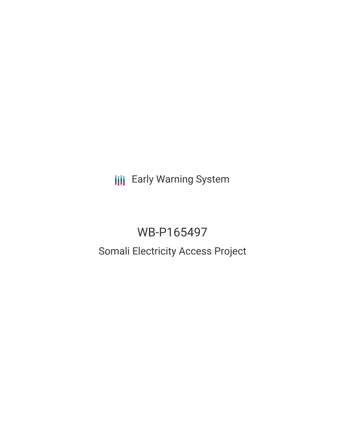**III** Early Warning System

# WB-P165497

## Somali Electricity Access Project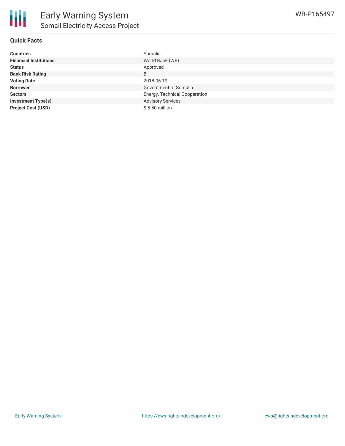

## **Quick Facts**

| <b>Countries</b>              | Somalia                       |
|-------------------------------|-------------------------------|
| <b>Financial Institutions</b> | World Bank (WB)               |
| <b>Status</b>                 | Approved                      |
| <b>Bank Risk Rating</b>       | B                             |
| <b>Voting Date</b>            | 2018-06-19                    |
| <b>Borrower</b>               | Government of Somalia         |
| <b>Sectors</b>                | Energy, Technical Cooperation |
| <b>Investment Type(s)</b>     | <b>Advisory Services</b>      |
| <b>Project Cost (USD)</b>     | $$5.50$ million               |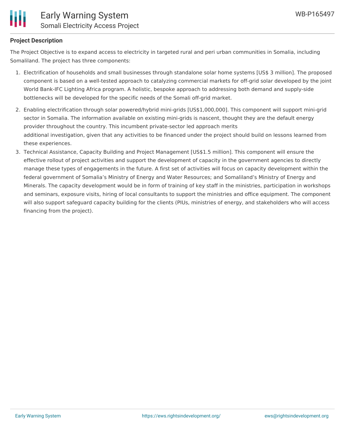

## **Project Description**

The Project Objective is to expand access to electricity in targeted rural and peri urban communities in Somalia, including Somaliland. The project has three components:

- 1. Electrification of households and small businesses through standalone solar home systems [US\$ 3 million]. The proposed component is based on a well-tested approach to catalyzing commercial markets for off-grid solar developed by the joint World Bank-IFC Lighting Africa program. A holistic, bespoke approach to addressing both demand and supply-side bottlenecks will be developed for the specific needs of the Somali off-grid market.
- 2. Enabling electrification through solar powered/hybrid mini-grids [US\$1,000,000]. This component will support mini-grid sector in Somalia. The information available on existing mini-grids is nascent, thought they are the default energy provider throughout the country. This incumbent private-sector led approach merits additional investigation, given that any activities to be financed under the project should build on lessons learned from these experiences.
- 3. Technical Assistance, Capacity Building and Project Management [US\$1.5 million]. This component will ensure the effective rollout of project activities and support the development of capacity in the government agencies to directly manage these types of engagements in the future. A first set of activities will focus on capacity development within the federal government of Somalia's Ministry of Energy and Water Resources; and Somaliland's Ministry of Energy and Minerals. The capacity development would be in form of training of key staff in the ministries, participation in workshops and seminars, exposure visits, hiring of local consultants to support the ministries and office equipment. The component will also support safeguard capacity building for the clients (PIUs, ministries of energy, and stakeholders who will access financing from the project).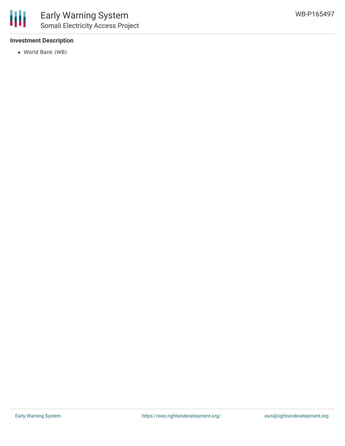

### **Investment Description**

World Bank (WB)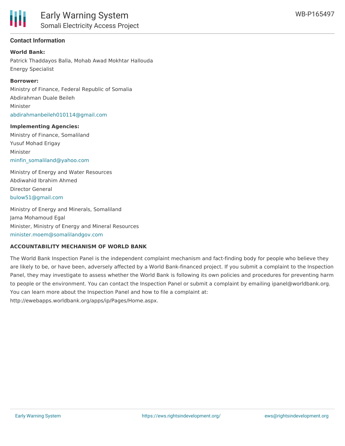

### **Contact Information**

**World Bank:** Patrick Thaddayos Balla, Mohab Awad Mokhtar Hallouda Energy Specialist

#### **Borrower:**

Ministry of Finance, Federal Republic of Somalia Abdirahman Duale Beileh Minister [abdirahmanbeileh010114@gmail.com](mailto:abdirahmanbeileh010114@gmail.com)

#### **Implementing Agencies:**

Ministry of Finance, Somaliland Yusuf Mohad Erigay Minister [minfin\\_somaliland@yahoo.com](mailto:minfin_somaliland@yahoo.com)

Ministry of Energy and Water Resources Abdiwahid Ibrahim Ahmed Director General [bulow51@gmail.com](mailto:bulow51@gmail.com)

Ministry of Energy and Minerals, Somaliland Jama Mohamoud Egal Minister, Ministry of Energy and Mineral Resources [minister.moem@somalilandgov.com](mailto:minister.moem@somalilandgov.com)

#### **ACCOUNTABILITY MECHANISM OF WORLD BANK**

The World Bank Inspection Panel is the independent complaint mechanism and fact-finding body for people who believe they are likely to be, or have been, adversely affected by a World Bank-financed project. If you submit a complaint to the Inspection Panel, they may investigate to assess whether the World Bank is following its own policies and procedures for preventing harm to people or the environment. You can contact the Inspection Panel or submit a complaint by emailing ipanel@worldbank.org. You can learn more about the Inspection Panel and how to file a complaint at: http://ewebapps.worldbank.org/apps/ip/Pages/Home.aspx.